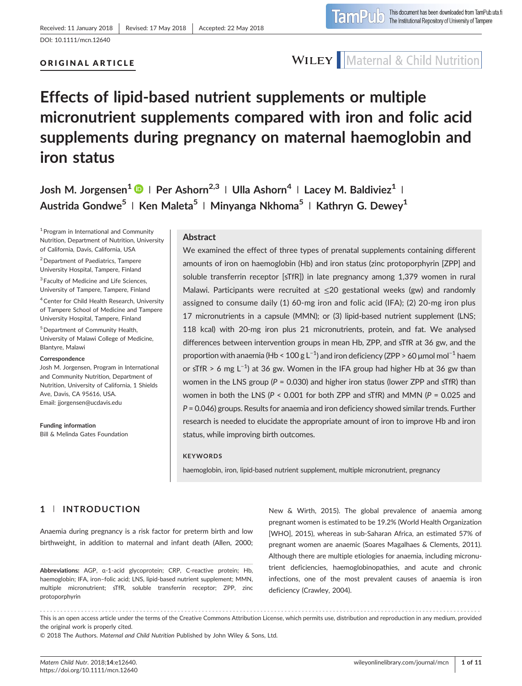### ORIGINAL ARTICLE

### **WILEY** Maternal & Child Nutrition

# Effects of lipid‐based nutrient supplements or multiple micronutrient supplements compared with iron and folic acid supplements during pregnancy on maternal haemoglobin and iron status

Josh M. Jorgensen<sup>1</sup>  $\bullet$  | Per Ashorn<sup>2,3</sup> | Ulla Ashorn<sup>4</sup> | Lacey M. Baldiviez<sup>1</sup> | Austrida Gondwe<sup>5</sup> | Ken Maleta<sup>5</sup> | Minyanga Nkhoma<sup>5</sup> | Kathryn G. Dewey<sup>1</sup>

<sup>1</sup> Program in International and Community Nutrition, Department of Nutrition, University of California, Davis, California, USA

2Department of Paediatrics, Tampere University Hospital, Tampere, Finland

<sup>3</sup> Faculty of Medicine and Life Sciences, University of Tampere, Tampere, Finland

4Center for Child Health Research, University of Tampere School of Medicine and Tampere University Hospital, Tampere, Finland

5Department of Community Health, University of Malawi College of Medicine, Blantyre, Malawi

### Correspondence

Josh M. Jorgensen, Program in International and Community Nutrition, Department of Nutrition, University of California, 1 Shields Ave, Davis, CA 95616, USA. Email: [jjorgensen@ucdavis.edu](mailto:jjorgensen@ucdavis.edu)

Funding information Bill & Melinda Gates Foundation

### Abstract

We examined the effect of three types of prenatal supplements containing different amounts of iron on haemoglobin (Hb) and iron status (zinc protoporphyrin [ZPP] and soluble transferrin receptor [sTfR]) in late pregnancy among 1,379 women in rural Malawi. Participants were recruited at ≤20 gestational weeks (gw) and randomly assigned to consume daily (1) 60‐mg iron and folic acid (IFA); (2) 20‐mg iron plus 17 micronutrients in a capsule (MMN); or (3) lipid‐based nutrient supplement (LNS; 118 kcal) with 20-mg iron plus 21 micronutrients, protein, and fat. We analysed differences between intervention groups in mean Hb, ZPP, and sTfR at 36 gw, and the proportion with anaemia (Hb < 100 g L<sup>-1</sup>) and iron deficiency (ZPP > 60 μmol mol<sup>-1</sup> haem or sTfR > 6 mg L<sup>-1</sup>) at 36 gw. Women in the IFA group had higher Hb at 36 gw than women in the LNS group ( $P = 0.030$ ) and higher iron status (lower ZPP and sTfR) than women in both the LNS ( $P < 0.001$  for both ZPP and sTfR) and MMN ( $P = 0.025$  and P = 0.046) groups. Results for anaemia and iron deficiency showed similar trends. Further research is needed to elucidate the appropriate amount of iron to improve Hb and iron status, while improving birth outcomes.

#### **KEYWORDS**

haemoglobin, iron, lipid‐based nutrient supplement, multiple micronutrient, pregnancy

### 1 | INTRODUCTION

Anaemia during pregnancy is a risk factor for preterm birth and low birthweight, in addition to maternal and infant death (Allen, 2000;

Abbreviations: AGP, α‐1‐acid glycoprotein; CRP, C‐reactive protein; Hb, haemoglobin; IFA, iron-folic acid; LNS, lipid-based nutrient supplement; MMN, multiple micronutrient; sTfR, soluble transferrin receptor; ZPP, zinc protoporphyrin

New & Wirth, 2015). The global prevalence of anaemia among pregnant women is estimated to be 19.2% (World Health Organization [WHO], 2015), whereas in sub-Saharan Africa, an estimated 57% of pregnant women are anaemic (Soares Magalhaes & Clements, 2011). Although there are multiple etiologies for anaemia, including micronutrient deficiencies, haemoglobinopathies, and acute and chronic infections, one of the most prevalent causes of anaemia is iron deficiency (Crawley, 2004).

------------------------------------------------------------------------------------------------------------------------------- - This is an open access article under the terms of the [Creative Commons Attribution](http://creativecommons.org/licenses/by/4.0/) License, which permits use, distribution and reproduction in any medium, provided the original work is properly cited.

© 2018 The Authors. Maternal and Child Nutrition Published by John Wiley & Sons, Ltd.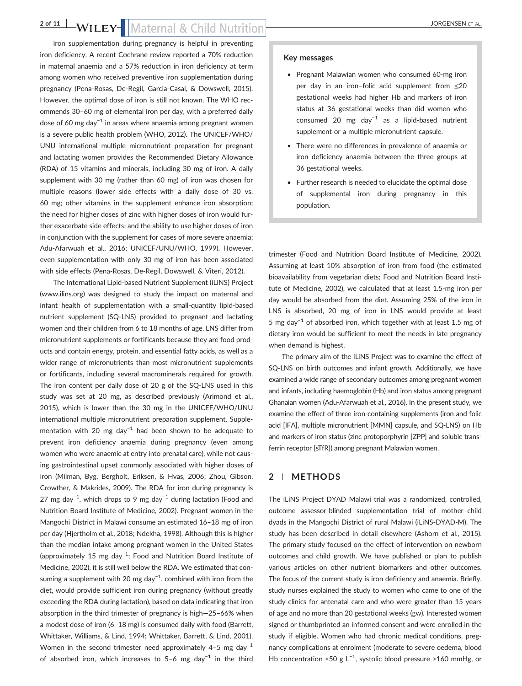### 2 of 11 WILEY-Maternal & Child Nutrition

Iron supplementation during pregnancy is helpful in preventing iron deficiency. A recent Cochrane review reported a 70% reduction in maternal anaemia and a 57% reduction in iron deficiency at term among women who received preventive iron supplementation during pregnancy (Pena‐Rosas, De‐Regil, Garcia‐Casal, & Dowswell, 2015). However, the optimal dose of iron is still not known. The WHO recommends 30–60 mg of elemental iron per day, with a preferred daily dose of 60 mg day<sup>-1</sup> in areas where anaemia among pregnant women is a severe public health problem (WHO, 2012). The UNICEF/WHO/ UNU international multiple micronutrient preparation for pregnant and lactating women provides the Recommended Dietary Allowance (RDA) of 15 vitamins and minerals, including 30 mg of iron. A daily supplement with 30 mg (rather than 60 mg) of iron was chosen for multiple reasons (lower side effects with a daily dose of 30 vs. 60 mg; other vitamins in the supplement enhance iron absorption; the need for higher doses of zinc with higher doses of iron would further exacerbate side effects; and the ability to use higher doses of iron in conjunction with the supplement for cases of more severe anaemia; Adu‐Afarwuah et al., 2016; UNICEF/UNU/WHO, 1999). However, even supplementation with only 30 mg of iron has been associated with side effects (Pena‐Rosas, De‐Regil, Dowswell, & Viteri, 2012).

The International Lipid‐based Nutrient Supplement (iLiNS) Project ([www.ilins.org\)](http://www.ilins.org/) was designed to study the impact on maternal and infant health of supplementation with a small‐quantity lipid‐based nutrient supplement (SQ‐LNS) provided to pregnant and lactating women and their children from 6 to 18 months of age. LNS differ from micronutrient supplements or fortificants because they are food products and contain energy, protein, and essential fatty acids, as well as a wider range of micronutrients than most micronutrient supplements or fortificants, including several macrominerals required for growth. The iron content per daily dose of 20 g of the SQ‐LNS used in this study was set at 20 mg, as described previously (Arimond et al., 2015), which is lower than the 30 mg in the UNICEF/WHO/UNU international multiple micronutrient preparation supplement. Supplementation with 20 mg day<sup>-1</sup> had been shown to be adequate to prevent iron deficiency anaemia during pregnancy (even among women who were anaemic at entry into prenatal care), while not causing gastrointestinal upset commonly associated with higher doses of iron (Milman, Byg, Bergholt, Eriksen, & Hvas, 2006; Zhou, Gibson, Crowther, & Makrides, 2009). The RDA for iron during pregnancy is 27 mg day<sup>−1</sup>, which drops to 9 mg day<sup>−1</sup> during lactation (Food and Nutrition Board Institute of Medicine, 2002). Pregnant women in the Mangochi District in Malawi consume an estimated 16–18 mg of iron per day (Hjertholm et al., 2018; Ndekha, 1998). Although this is higher than the median intake among pregnant women in the United States (approximately 15 mg day−<sup>1</sup> ; Food and Nutrition Board Institute of Medicine, 2002), it is still well below the RDA. We estimated that consuming a supplement with 20 mg day<sup>-1</sup>, combined with iron from the diet, would provide sufficient iron during pregnancy (without greatly exceeding the RDA during lactation), based on data indicating that iron absorption in the third trimester of pregnancy is high—25–66% when a modest dose of iron (6–18 mg) is consumed daily with food (Barrett, Whittaker, Williams, & Lind, 1994; Whittaker, Barrett, & Lind, 2001). Women in the second trimester need approximately 4–5 mg day<sup>-1</sup> of absorbed iron, which increases to 5–6 mg day−<sup>1</sup> in the third

#### Key messages

- Pregnant Malawian women who consumed 60-mg iron per day in an iron–folic acid supplement from  $\leq$ 20 gestational weeks had higher Hb and markers of iron status at 36 gestational weeks than did women who consumed 20 mg day−<sup>1</sup> as a lipid‐based nutrient supplement or a multiple micronutrient capsule.
- There were no differences in prevalence of anaemia or iron deficiency anaemia between the three groups at 36 gestational weeks.
- Further research is needed to elucidate the optimal dose of supplemental iron during pregnancy in this population.

trimester (Food and Nutrition Board Institute of Medicine, 2002). Assuming at least 10% absorption of iron from food (the estimated bioavailability from vegetarian diets; Food and Nutrition Board Institute of Medicine, 2002), we calculated that at least 1.5‐mg iron per day would be absorbed from the diet. Assuming 25% of the iron in LNS is absorbed, 20 mg of iron in LNS would provide at least 5 mg day−<sup>1</sup> of absorbed iron, which together with at least 1.5 mg of dietary iron would be sufficient to meet the needs in late pregnancy when demand is highest.

The primary aim of the iLiNS Project was to examine the effect of SQ-LNS on birth outcomes and infant growth. Additionally, we have examined a wide range of secondary outcomes among pregnant women and infants, including haemoglobin (Hb) and iron status among pregnant Ghanaian women (Adu‐Afarwuah et al., 2016). In the present study, we examine the effect of three iron-containing supplements (iron and folic acid [IFA], multiple micronutrient [MMN] capsule, and SQ‐LNS) on Hb and markers of iron status (zinc protoporphyrin [ZPP] and soluble transferrin receptor [sTfR]) among pregnant Malawian women.

### 2 | METHODS

The iLiNS Project DYAD Malawi trial was a randomized, controlled, outcome assessor‐blinded supplementation trial of mother–child dyads in the Mangochi District of rural Malawi (iLiNS‐DYAD‐M). The study has been described in detail elsewhere (Ashorn et al., 2015). The primary study focused on the effect of intervention on newborn outcomes and child growth. We have published or plan to publish various articles on other nutrient biomarkers and other outcomes. The focus of the current study is iron deficiency and anaemia. Briefly, study nurses explained the study to women who came to one of the study clinics for antenatal care and who were greater than 15 years of age and no more than 20 gestational weeks (gw). Interested women signed or thumbprinted an informed consent and were enrolled in the study if eligible. Women who had chronic medical conditions, pregnancy complications at enrolment (moderate to severe oedema, blood Hb concentration <50 g L<sup>-1</sup>, systolic blood pressure >160 mmHg, or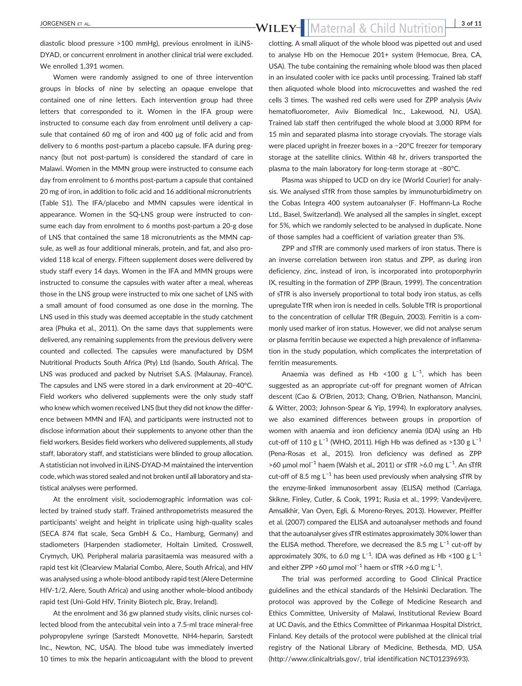diastolic blood pressure >100 mmHg), previous enrolment in iLiNS‐ DYAD, or concurrent enrolment in another clinical trial were excluded. We enrolled 1,391 women.

Women were randomly assigned to one of three intervention groups in blocks of nine by selecting an opaque envelope that contained one of nine letters. Each intervention group had three letters that corresponded to it. Women in the IFA group were instructed to consume each day from enrolment until delivery a capsule that contained 60 mg of iron and 400 μg of folic acid and from delivery to 6 months post‐partum a placebo capsule. IFA during pregnancy (but not post-partum) is considered the standard of care in Malawi. Women in the MMN group were instructed to consume each day from enrolment to 6 months post‐partum a capsule that contained 20 mg of iron, in addition to folic acid and 16 additional micronutrients (Table S1). The IFA/placebo and MMN capsules were identical in appearance. Women in the SQ-LNS group were instructed to consume each day from enrolment to 6 months post-partum a 20-g dose of LNS that contained the same 18 micronutrients as the MMN capsule, as well as four additional minerals, protein, and fat, and also provided 118 kcal of energy. Fifteen supplement doses were delivered by study staff every 14 days. Women in the IFA and MMN groups were instructed to consume the capsules with water after a meal, whereas those in the LNS group were instructed to mix one sachet of LNS with a small amount of food consumed as one dose in the morning. The LNS used in this study was deemed acceptable in the study catchment area (Phuka et al., 2011). On the same days that supplements were delivered, any remaining supplements from the previous delivery were counted and collected. The capsules were manufactured by DSM Nutritional Products South Africa (Pty) Ltd (Isando, South Africa). The LNS was produced and packed by Nutriset S.A.S. (Malaunay, France). The capsules and LNS were stored in a dark environment at 20–40°C. Field workers who delivered supplements were the only study staff who knew which women received LNS (but they did not know the difference between MMN and IFA), and participants were instructed not to disclose information about their supplements to anyone other than the field workers. Besides field workers who delivered supplements, all study staff, laboratory staff, and statisticians were blinded to group allocation. A statistician not involved in iLiNS‐DYAD‐M maintained the intervention code, which was stored sealed and not broken until all laboratory and statistical analyses were performed.

At the enrolment visit, sociodemographic information was collected by trained study staff. Trained anthropometrists measured the participants' weight and height in triplicate using high‐quality scales (SECA 874 flat scale, Seca GmbH & Co., Hamburg, Germany) and stadiometers (Harpenden stadiometer, Holtain Limited, Crosswell, Crymych, UK). Peripheral malaria parasitaemia was measured with a rapid test kit (Clearview Malarial Combo, Alere, South Africa), and HIV was analysed using a whole‐blood antibody rapid test (Alere Determine HIV-1/2, Alere, South Africa) and using another whole-blood antibody rapid test (Uni‐Gold HIV, Trinity Biotech plc, Bray, Ireland).

At the enrolment and 36 gw planned study visits, clinic nurses collected blood from the antecubital vein into a 7.5‐ml trace mineral‐free polypropylene syringe (Sarstedt Monovette, NH4‐heparin, Sarstedt Inc., Newton, NC, USA). The blood tube was immediately inverted 10 times to mix the heparin anticoagulant with the blood to prevent

clotting. A small aliquot of the whole blood was pipetted out and used to analyse Hb on the Hemocue 201+ system (Hemocue, Brea, CA, USA). The tube containing the remaining whole blood was then placed in an insulated cooler with ice packs until processing. Trained lab staff then aliquoted whole blood into microcuvettes and washed the red cells 3 times. The washed red cells were used for ZPP analysis (Aviv hematofluorometer, Aviv Biomedical Inc., Lakewood, NJ, USA). Trained lab staff then centrifuged the whole blood at 3,000 RPM for 15 min and separated plasma into storage cryovials. The storage vials were placed upright in freezer boxes in a −20°C freezer for temporary storage at the satellite clinics. Within 48 hr, drivers transported the plasma to the main laboratory for long‐term storage at −80°C.

Plasma was shipped to UCD on dry ice (World Courier) for analysis. We analysed sTfR from those samples by immunoturbidimetry on the Cobas Integra 400 system autoanalyser (F. Hoffmann‐La Roche Ltd., Basel, Switzerland). We analysed all the samples in singlet, except for 5%, which we randomly selected to be analysed in duplicate. None of those samples had a coefficient of variation greater than 5%.

ZPP and sTfR are commonly used markers of iron status. There is an inverse correlation between iron status and ZPP, as during iron deficiency, zinc, instead of iron, is incorporated into protoporphyrin IX, resulting in the formation of ZPP (Braun, 1999). The concentration of sTfR is also inversely proportional to total body iron status, as cells upregulate TfR when iron is needed in cells. Soluble TfR is proportional to the concentration of cellular TfR (Beguin, 2003). Ferritin is a commonly used marker of iron status. However, we did not analyse serum or plasma ferritin because we expected a high prevalence of inflammation in the study population, which complicates the interpretation of ferritin measurements.

Anaemia was defined as Hb <100 g  $L^{-1}$ , which has been suggested as an appropriate cut-off for pregnant women of African descent (Cao & O'Brien, 2013; Chang, O'Brien, Nathanson, Mancini, & Witter, 2003; Johnson‐Spear & Yip, 1994). In exploratory analyses, we also examined differences between groups in proportion of women with anaemia and iron deficiency anemia (IDA) using an Hb cut-off of 110 g L<sup>-1</sup> (WHO, 2011). High Hb was defined as >130 g L<sup>-1</sup> (Pena‐Rosas et al., 2015). Iron deficiency was defined as ZPP >60 μmol mol<sup>-1</sup> haem (Walsh et al., 2011) or sTfR >6.0 mg L<sup>-1</sup>. An sTfR cut-off of 8.5 mg L<sup>-1</sup> has been used previously when analysing sTfR by the enzyme‐linked immunosorbent assay (ELISA) method (Carriaga, Skikne, Finley, Cutler, & Cook, 1991; Rusia et al., 1999; Vandevijvere, Amsalkhir, Van Oyen, Egli, & Moreno‐Reyes, 2013). However, Pfeiffer et al. (2007) compared the ELISA and autoanalyser methods and found that the autoanalyser gives sTfR estimates approximately 30% lower than the ELISA method. Therefore, we decreased the 8.5 mg  $L^{-1}$  cut-off by approximately 30%, to 6.0 mg L<sup>-1</sup>. IDA was defined as Hb <100 g L<sup>-1</sup> and either ZPP >60  $\mu$ mol mol $^{-1}$  haem or sTfR >6.0 mg L $^{-1}$ .

The trial was performed according to Good Clinical Practice guidelines and the ethical standards of the Helsinki Declaration. The protocol was approved by the College of Medicine Research and Ethics Committee, University of Malawi, Institutional Review Board at UC Davis, and the Ethics Committee of Pirkanmaa Hospital District, Finland. Key details of the protocol were published at the clinical trial registry of the National Library of Medicine, Bethesda, MD, USA ([http://www.clinicaltrials.gov/,](http://www.clinicaltrials.gov/) trial identification NCT01239693).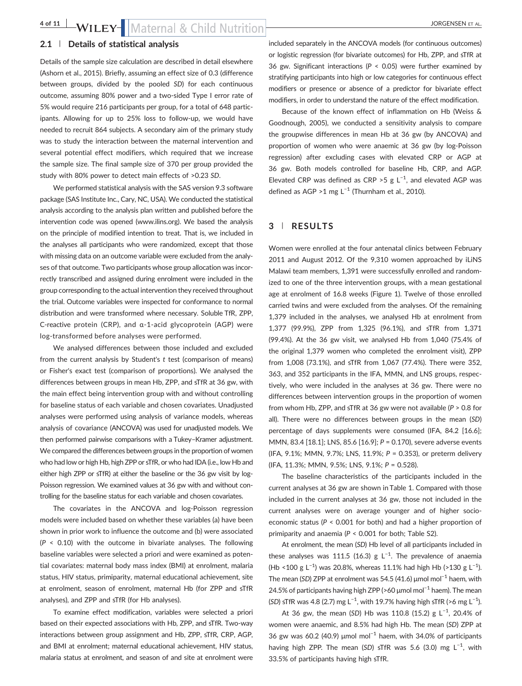### 2.1 | Details of statistical analysis

Details of the sample size calculation are described in detail elsewhere (Ashorn et al., 2015). Briefly, assuming an effect size of 0.3 (difference between groups, divided by the pooled SD) for each continuous outcome, assuming 80% power and a two‐sided Type I error rate of 5% would require 216 participants per group, for a total of 648 participants. Allowing for up to 25% loss to follow‐up, we would have needed to recruit 864 subjects. A secondary aim of the primary study was to study the interaction between the maternal intervention and several potential effect modifiers, which required that we increase the sample size. The final sample size of 370 per group provided the study with 80% power to detect main effects of >0.23 SD.

We performed statistical analysis with the SAS version 9.3 software package (SAS Institute Inc., Cary, NC, USA). We conducted the statistical analysis according to the analysis plan written and published before the intervention code was opened ([www.ilins.org\)](http://www.ilins.org). We based the analysis on the principle of modified intention to treat. That is, we included in the analyses all participants who were randomized, except that those with missing data on an outcome variable were excluded from the analyses of that outcome. Two participants whose group allocation was incorrectly transcribed and assigned during enrolment were included in the group corresponding to the actual intervention they received throughout the trial. Outcome variables were inspected for conformance to normal distribution and were transformed where necessary. Soluble TfR, ZPP, C‐reactive protein (CRP), and α‐1‐acid glycoprotein (AGP) were log‐transformed before analyses were performed.

We analysed differences between those included and excluded from the current analysis by Student's t test (comparison of means) or Fisher's exact test (comparison of proportions). We analysed the differences between groups in mean Hb, ZPP, and sTfR at 36 gw, with the main effect being intervention group with and without controlling for baseline status of each variable and chosen covariates. Unadjusted analyses were performed using analysis of variance models, whereas analysis of covariance (ANCOVA) was used for unadjusted models. We then performed pairwise comparisons with a Tukey–Kramer adjustment. We compared the differences between groups in the proportion of women who had low or high Hb, high ZPP or sTfR, or who had IDA (i.e., low Hb and either high ZPP or sTfR) at either the baseline or the 36 gw visit by log-Poisson regression. We examined values at 36 gw with and without controlling for the baseline status for each variable and chosen covariates.

The covariates in the ANCOVA and log-Poisson regression models were included based on whether these variables (a) have been shown in prior work to influence the outcome and (b) were associated  $(P < 0.10)$  with the outcome in bivariate analyses. The following baseline variables were selected a priori and were examined as potential covariates: maternal body mass index (BMI) at enrolment, malaria status, HIV status, primiparity, maternal educational achievement, site at enrolment, season of enrolment, maternal Hb (for ZPP and sTfR analyses), and ZPP and sTfR (for Hb analyses).

To examine effect modification, variables were selected a priori based on their expected associations with Hb, ZPP, and sTfR. Two‐way interactions between group assignment and Hb, ZPP, sTfR, CRP, AGP, and BMI at enrolment; maternal educational achievement, HIV status, malaria status at enrolment, and season of and site at enrolment were included separately in the ANCOVA models (for continuous outcomes) or logistic regression (for bivariate outcomes) for Hb, ZPP, and sTfR at 36 gw. Significant interactions ( $P < 0.05$ ) were further examined by stratifying participants into high or low categories for continuous effect modifiers or presence or absence of a predictor for bivariate effect modifiers, in order to understand the nature of the effect modification.

Because of the known effect of inflammation on Hb (Weiss & Goodnough, 2005), we conducted a sensitivity analysis to compare the groupwise differences in mean Hb at 36 gw (by ANCOVA) and proportion of women who were anaemic at 36 gw (by log‐Poisson regression) after excluding cases with elevated CRP or AGP at 36 gw. Both models controlled for baseline Hb, CRP, and AGP. Elevated CRP was defined as CRP > 5 g  $L^{-1}$ , and elevated AGP was defined as AGP >1 mg  $L^{-1}$  (Thurnham et al., 2010).

### 3 | RESULTS

Women were enrolled at the four antenatal clinics between February 2011 and August 2012. Of the 9,310 women approached by iLiNS Malawi team members, 1,391 were successfully enrolled and randomized to one of the three intervention groups, with a mean gestational age at enrolment of 16.8 weeks (Figure 1). Twelve of those enrolled carried twins and were excluded from the analyses. Of the remaining 1,379 included in the analyses, we analysed Hb at enrolment from 1,377 (99.9%), ZPP from 1,325 (96.1%), and sTfR from 1,371 (99.4%). At the 36 gw visit, we analysed Hb from 1,040 (75.4% of the original 1,379 women who completed the enrolment visit), ZPP from 1,008 (73.1%), and sTfR from 1,067 (77.4%). There were 352, 363, and 352 participants in the IFA, MMN, and LNS groups, respectively, who were included in the analyses at 36 gw. There were no differences between intervention groups in the proportion of women from whom Hb, ZPP, and sTfR at 36 gw were not available ( $P > 0.8$  for all). There were no differences between groups in the mean (SD) percentage of days supplements were consumed (IFA, 84.2 [16.6]; MMN, 83.4 [18.1]; LNS, 85.6 [16.9]; P = 0.170), severe adverse events (IFA, 9.1%; MMN, 9.7%; LNS, 11.9%; P = 0.353), or preterm delivery (IFA, 11.3%; MMN, 9.5%; LNS, 9.1%; P = 0.528).

The baseline characteristics of the participants included in the current analyses at 36 gw are shown in Table 1. Compared with those included in the current analyses at 36 gw, those not included in the current analyses were on average younger and of higher socioeconomic status (P < 0.001 for both) and had a higher proportion of primiparity and anaemia ( $P < 0.001$  for both; Table S2).

At enrolment, the mean (SD) Hb level of all participants included in these analyses was 111.5 (16.3) g L<sup>-1</sup>. The prevalence of anaemia (Hb <100 g L<sup>-1</sup>) was 20.8%, whereas 11.1% had high Hb (>130 g L<sup>-1</sup>). The mean (SD) ZPP at enrolment was 54.5 (41.6)  $\mu$ mol mol<sup>-1</sup> haem, with 24.5% of participants having high ZPP (>60 μmol mol<sup>-1</sup> haem). The mean (SD) sTfR was 4.8 (2.7) mg L<sup>-1</sup>, with 19.7% having high sTfR (>6 mg L<sup>-1</sup>).

At 36 gw, the mean (SD) Hb was 110.8 (15.2) g L<sup>-1</sup>, 20.4% of women were anaemic, and 8.5% had high Hb. The mean (SD) ZPP at 36 gw was 60.2 (40.9) µmol mol<sup>-1</sup> haem, with 34.0% of participants having high ZPP. The mean (SD) sTfR was 5.6 (3.0) mg L<sup>-1</sup>, with 33.5% of participants having high sTfR.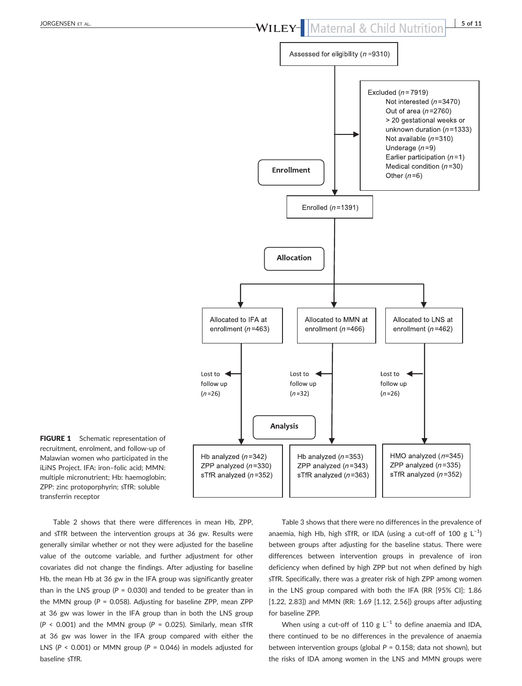

FIGURE 1 Schematic representation of recruitment, enrolment, and follow‐up of Malawian women who participated in the iLiNS Project. IFA: iron–folic acid; MMN: multiple micronutrient; Hb: haemoglobin; ZPP: zinc protoporphyrin; sTfR: soluble transferrin receptor

Table 2 shows that there were differences in mean Hb, ZPP, and sTfR between the intervention groups at 36 gw. Results were generally similar whether or not they were adjusted for the baseline value of the outcome variable, and further adjustment for other covariates did not change the findings. After adjusting for baseline Hb, the mean Hb at 36 gw in the IFA group was significantly greater than in the LNS group ( $P = 0.030$ ) and tended to be greater than in the MMN group ( $P = 0.058$ ). Adjusting for baseline ZPP, mean ZPP at 36 gw was lower in the IFA group than in both the LNS group ( $P < 0.001$ ) and the MMN group ( $P = 0.025$ ). Similarly, mean sTfR at 36 gw was lower in the IFA group compared with either the LNS ( $P < 0.001$ ) or MMN group ( $P = 0.046$ ) in models adjusted for baseline sTfR.

Table 3 shows that there were no differences in the prevalence of anaemia, high Hb, high sTfR, or IDA (using a cut-off of 100 g  $\mathsf{L}^{-1}$ ) between groups after adjusting for the baseline status. There were differences between intervention groups in prevalence of iron deficiency when defined by high ZPP but not when defined by high sTfR. Specifically, there was a greater risk of high ZPP among women in the LNS group compared with both the IFA (RR [95% CI]: 1.86 [1.22, 2.83]) and MMN (RR: 1.69 [1.12, 2.56]) groups after adjusting for baseline ZPP.

When using a cut-off of 110 g  $L^{-1}$  to define anaemia and IDA, there continued to be no differences in the prevalence of anaemia between intervention groups (global  $P = 0.158$ ; data not shown), but the risks of IDA among women in the LNS and MMN groups were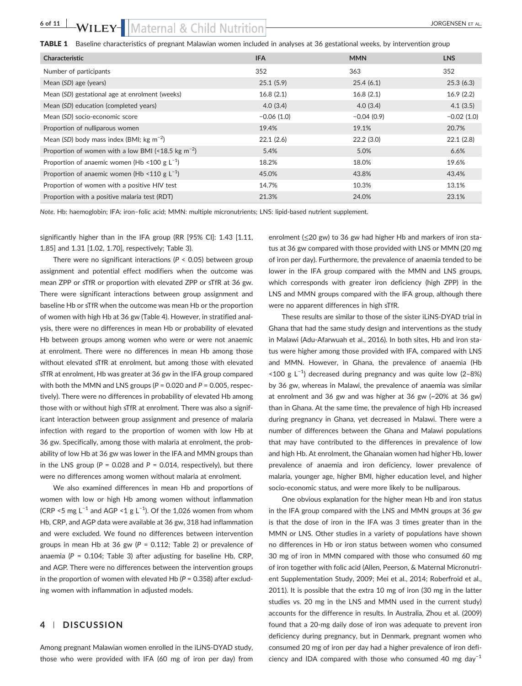### 6 of 11 WILEY- Maternal & Child Nutrition State Contract on the Borgensen Et AL.

| Characteristic                                                 | <b>IFA</b>   | <b>MMN</b>   | <b>LNS</b>   |
|----------------------------------------------------------------|--------------|--------------|--------------|
| Number of participants                                         | 352          | 363          | 352          |
| Mean (SD) age (years)                                          | 25.1(5.9)    | 25.4(6.1)    | 25.3(6.3)    |
| Mean (SD) gestational age at enrolment (weeks)                 | 16.8(2.1)    | 16.8(2.1)    | 16.9(2.2)    |
| Mean (SD) education (completed years)                          | 4.0(3.4)     | 4.0(3.4)     | 4.1(3.5)     |
| Mean (SD) socio-economic score                                 | $-0.06(1.0)$ | $-0.04(0.9)$ | $-0.02(1.0)$ |
| Proportion of nulliparous women                                | 19.4%        | 19.1%        | 20.7%        |
| Mean (SD) body mass index (BMI; $kg \, \text{m}^{-2}$ )        | 22.1(2.6)    | 22.2(3.0)    | 22.1(2.8)    |
| Proportion of women with a low BMI (<18.5 kg m <sup>-2</sup> ) | 5.4%         | 5.0%         | 6.6%         |
| Proportion of anaemic women (Hb <100 g $L^{-1}$ )              | 18.2%        | 18.0%        | 19.6%        |
| Proportion of anaemic women (Hb <110 g $L^{-1}$ )              | 45.0%        | 43.8%        | 43.4%        |
| Proportion of women with a positive HIV test                   | 14.7%        | 10.3%        | 13.1%        |
| Proportion with a positive malaria test (RDT)                  | 21.3%        | 24.0%        | 23.1%        |

Note. Hb: haemoglobin; IFA: iron–folic acid; MMN: multiple micronutrients; LNS: lipid‐based nutrient supplement.

significantly higher than in the IFA group (RR [95% CI]: 1.43 [1.11, 1.85] and 1.31 [1.02, 1.70], respectively; Table 3).

There were no significant interactions ( $P < 0.05$ ) between group assignment and potential effect modifiers when the outcome was mean ZPP or sTfR or proportion with elevated ZPP or sTfR at 36 gw. There were significant interactions between group assignment and baseline Hb or sTfR when the outcome was mean Hb or the proportion of women with high Hb at 36 gw (Table 4). However, in stratified analysis, there were no differences in mean Hb or probability of elevated Hb between groups among women who were or were not anaemic at enrolment. There were no differences in mean Hb among those without elevated sTfR at enrolment, but among those with elevated sTfR at enrolment, Hb was greater at 36 gw in the IFA group compared with both the MMN and LNS groups ( $P = 0.020$  and  $P = 0.005$ , respectively). There were no differences in probability of elevated Hb among those with or without high sTfR at enrolment. There was also a significant interaction between group assignment and presence of malaria infection with regard to the proportion of women with low Hb at 36 gw. Specifically, among those with malaria at enrolment, the probability of low Hb at 36 gw was lower in the IFA and MMN groups than in the LNS group ( $P = 0.028$  and  $P = 0.014$ , respectively), but there were no differences among women without malaria at enrolment.

We also examined differences in mean Hb and proportions of women with low or high Hb among women without inflammation (CRP <5 mg L<sup>-1</sup> and AGP <1 g L<sup>-1</sup>). Of the 1,026 women from whom Hb, CRP, and AGP data were available at 36 gw, 318 had inflammation and were excluded. We found no differences between intervention groups in mean Hb at 36 gw ( $P = 0.112$ ; Table 2) or prevalence of anaemia ( $P = 0.104$ ; Table 3) after adjusting for baseline Hb, CRP, and AGP. There were no differences between the intervention groups in the proportion of women with elevated Hb ( $P = 0.358$ ) after excluding women with inflammation in adjusted models.

### 4 | DISCUSSION

Among pregnant Malawian women enrolled in the iLiNS‐DYAD study, those who were provided with IFA (60 mg of iron per day) from

enrolment (≤20 gw) to 36 gw had higher Hb and markers of iron status at 36 gw compared with those provided with LNS or MMN (20 mg of iron per day). Furthermore, the prevalence of anaemia tended to be lower in the IFA group compared with the MMN and LNS groups, which corresponds with greater iron deficiency (high ZPP) in the LNS and MMN groups compared with the IFA group, although there were no apparent differences in high sTfR.

These results are similar to those of the sister iLiNS‐DYAD trial in Ghana that had the same study design and interventions as the study in Malawi (Adu‐Afarwuah et al., 2016). In both sites, Hb and iron status were higher among those provided with IFA, compared with LNS and MMN. However, in Ghana, the prevalence of anaemia (Hb <100 g L−<sup>1</sup> ) decreased during pregnancy and was quite low (2–8%) by 36 gw, whereas in Malawi, the prevalence of anaemia was similar at enrolment and 36 gw and was higher at 36 gw (~20% at 36 gw) than in Ghana. At the same time, the prevalence of high Hb increased during pregnancy in Ghana, yet decreased in Malawi. There were a number of differences between the Ghana and Malawi populations that may have contributed to the differences in prevalence of low and high Hb. At enrolment, the Ghanaian women had higher Hb, lower prevalence of anaemia and iron deficiency, lower prevalence of malaria, younger age, higher BMI, higher education level, and higher socio‐economic status, and were more likely to be nulliparous.

One obvious explanation for the higher mean Hb and iron status in the IFA group compared with the LNS and MMN groups at 36 gw is that the dose of iron in the IFA was 3 times greater than in the MMN or LNS. Other studies in a variety of populations have shown no differences in Hb or iron status between women who consumed 30 mg of iron in MMN compared with those who consumed 60 mg of iron together with folic acid (Allen, Peerson, & Maternal Micronutrient Supplementation Study, 2009; Mei et al., 2014; Roberfroid et al., 2011). It is possible that the extra 10 mg of iron (30 mg in the latter studies vs. 20 mg in the LNS and MMN used in the current study) accounts for the difference in results. In Australia, Zhou et al. (2009) found that a 20‐mg daily dose of iron was adequate to prevent iron deficiency during pregnancy, but in Denmark, pregnant women who consumed 20 mg of iron per day had a higher prevalence of iron deficiency and IDA compared with those who consumed 40 mg day−<sup>1</sup>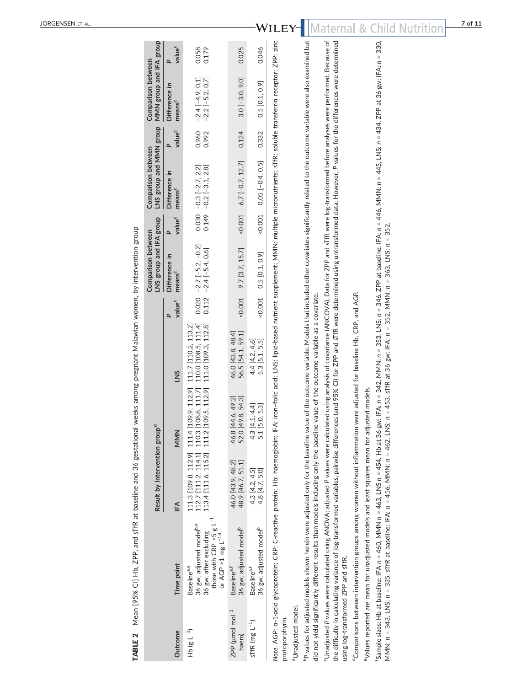| TABLE 2                               | Mean [95% CI] Hb, ZPP, and sTfR at baseline and 36 gestational weeks among pregnant Malawian women, by intervention group                                                                                                                                                                                                                                                                                                                               |                                                                                        |                                                    |                                                                                                                                       |                    |                                                       |                          |                                                    |                    |                                                  |                    |
|---------------------------------------|---------------------------------------------------------------------------------------------------------------------------------------------------------------------------------------------------------------------------------------------------------------------------------------------------------------------------------------------------------------------------------------------------------------------------------------------------------|----------------------------------------------------------------------------------------|----------------------------------------------------|---------------------------------------------------------------------------------------------------------------------------------------|--------------------|-------------------------------------------------------|--------------------------|----------------------------------------------------|--------------------|--------------------------------------------------|--------------------|
|                                       |                                                                                                                                                                                                                                                                                                                                                                                                                                                         | Result by intervention group <sup>d</sup>                                              |                                                    |                                                                                                                                       |                    | LNS group and IFA group<br>Comparison between         |                          | LNS group and MMN group<br>Comparison between      |                    | MMN group and IFA group<br>Comparison between    |                    |
| Outcome                               | Time point                                                                                                                                                                                                                                                                                                                                                                                                                                              | ΙĔΑ                                                                                    | MMN                                                | SNT                                                                                                                                   | value <sup>c</sup> | Difference in<br>means <sup>c</sup>                   | value <sup>c</sup><br>P. | Difference in<br>means <sup>c</sup>                | value <sup>c</sup> | Difference in<br>means <sup>c</sup>              | value <sup>c</sup> |
| $Hb$ (g $L^{-1}$ )                    | $\overline{a}$<br>36 gw, adjusted model <sup>b,e</sup><br>those with CRP >5 g I<br>36 gw, after excluding<br>or AGP >1 mg $L^{-1d}$<br>Baselinea,e                                                                                                                                                                                                                                                                                                      | 111.3 [109.8, 112.9] 111.4<br>112.7 [111.2, 114.1] 110.3<br>113.4 [111.6, 115.2] 111.2 | [108.8, 111.7]<br>[109.5, 112.9]<br>[109.9, 112.9] | 111.7 [110.2, 113.2]<br>110.0 [108.5, 111.4]<br>111.0 [109.3, 112.8]                                                                  |                    | $0.020 -2.7 [-5.2, -0.2]$<br>$0.112 -2.4 [-5.4, 0.6]$ |                          | $0.030 -0.3 [-2.7, 2.2]$<br>0.149 -0.2 [-3.1, 2.8] | 0.960<br>0.992     | $-2.4$ [ $-4.9$ , 0.1]<br>$-2.2$ [ $-5.2$ , 0.7] | 0.179<br>0.058     |
| ZPP (umol mol <sup>-1</sup><br>haem)  | 36 gw, adjusted model <sup>b</sup><br>Baseline <sup>a,1</sup>                                                                                                                                                                                                                                                                                                                                                                                           | 48.9 [46.7, 51.1]<br>46.0 [43.9, 48.2]                                                 | [44.6, 49.2]<br>[49.8, 54.3]<br>46.8<br>52.0       | 56.5 [54.1, 59.1]<br>46.0 [43.8, 48.4]                                                                                                | 0.001              | 9.7 [3.7, 15.7]                                       | 0.001                    | $6.7[-0.7, 12.7]$                                  | 0.124              | $3.0$ [-3.0, 9.0]                                | 0.025              |
| sTfR (mg $L^{-1}$ )                   | 36 gw, adjusted model <sup>b</sup><br>Baseline <sup>a,f</sup>                                                                                                                                                                                                                                                                                                                                                                                           | 4.3 [4.2, 4.5]<br>4.8 [4.7, 5.0]                                                       | [4.1, 4.4]<br>[5.0, 5.3]<br>4.3<br>5.1             | 4.4 [4.2, 4.6]<br>5.3 [5.1, 5.5]                                                                                                      | 0.001              | 0.5 [0.1, 0.9]                                        | $-0.001$                 | $0.05[-0.4, 0.5]$                                  | 0.332              | $0.5$ [0.1, 0.9]                                 | 0.046              |
| aUnadjusted model.<br>protoporphyrin. | Note. AGP: a-1-acid glycoprotein; CRP: C-reactive protein; Hb: haemoglobin; HFA: iron-folic acid; LNS: lipid-based nutrient: supplement; MMN: multiple micronutrients; sTfR: soluble transferrin receptor; ZPP: zinc                                                                                                                                                                                                                                    |                                                                                        |                                                    |                                                                                                                                       |                    |                                                       |                          |                                                    |                    |                                                  |                    |
|                                       | <sup>b</sup> P values for adjusted models shown herein were adjusted only for the baseline value of the outcome variable. Models that included other covariates significantly related to the outcome variable were also examined but<br>did not yield significantly different results than models including only the baseline value of the outcome variable as a covariate.                                                                             |                                                                                        |                                                    |                                                                                                                                       |                    |                                                       |                          |                                                    |                    |                                                  |                    |
| using log-transformed ZPP and sTfR.   | <sup>c</sup> Unadjusted P values were calculated using ANOVA; adjusted P values were calculated using analysis of covariance (ANCOVA). Data for ZPP and sTfR were log-transformed before analyses were performed. Because of<br>the difficulty in calculating variance of log-transformed variables, pairwise differences (and 95% CI) for ZPP and sTfR were determined using untransformed data. However, P values for the differences were determined |                                                                                        |                                                    |                                                                                                                                       |                    |                                                       |                          |                                                    |                    |                                                  |                    |
|                                       | <sup>o</sup> Comparisons between intervention groups among women without inflammation were adjusted for baseline Hb, CRP, and AGP.<br>evalues reported are mean for unadjusted models and least squares mean for adjusted models.                                                                                                                                                                                                                       |                                                                                        |                                                    |                                                                                                                                       |                    |                                                       |                          |                                                    |                    |                                                  |                    |
|                                       | MMN: n = 343, LNS: n = 335. sTfR at baseline: IFA: n = 456, MMN: n = 4462, LNS: n = 453. sTfR at 36 gw: IFA: n = 352, MMN: n = 363. LNS: n = 352.<br>5sample sizes: Hb at baseline: IFA n = 460, MMN n = 463, LNS n = 454. Hb at 36                                                                                                                                                                                                                     |                                                                                        |                                                    | gw: IFA: n = 342, MMN: n = 353, LNS: n = 3546. ZPP at baseline: IFA: n = 446, MMN: n = 445, LNS: n = 434. ZPP at 36 gw: IFA: n = 330, |                    |                                                       |                          |                                                    |                    |                                                  |                    |

JORGENSEN ET AL .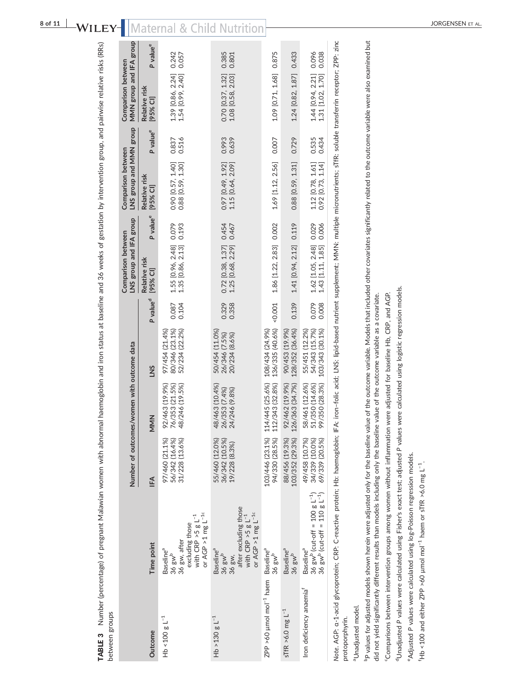| between groups                        |                                                                                                                                                                                                                                                                                                                                                                                                                                                                                                            |                                                    |                                                    |                                                    |                      |                                                            |                                          |                      |                                               |                      |
|---------------------------------------|------------------------------------------------------------------------------------------------------------------------------------------------------------------------------------------------------------------------------------------------------------------------------------------------------------------------------------------------------------------------------------------------------------------------------------------------------------------------------------------------------------|----------------------------------------------------|----------------------------------------------------|----------------------------------------------------|----------------------|------------------------------------------------------------|------------------------------------------|----------------------|-----------------------------------------------|----------------------|
|                                       |                                                                                                                                                                                                                                                                                                                                                                                                                                                                                                            |                                                    | Number of outcomes/women with outcome data         |                                                    |                      | LNS group and IFA group<br>Comparison between              | LNS group and MMN<br>Comparison between  | dno.a                | MMN group and IFA group<br>Comparison between |                      |
| Outcome                               | Time point                                                                                                                                                                                                                                                                                                                                                                                                                                                                                                 | l⊧A                                                | MMN                                                | SNT                                                | P value <sup>d</sup> | P value <sup>e</sup><br>Relative risk<br>[95% CI]          | Relative risk<br>[95% CI]                | P value <sup>e</sup> | Relative risk<br>[95% CI]                     | P value <sup>e</sup> |
| $Hb \le 100 g L^{-1}$                 | or AGP >1 mg $L^{-1c}$<br>with CRP $>$ 5 g L <sup>-1</sup><br>excluding those<br>36 gw, after<br>Baseline <sup>a</sup><br>36 $\text{gw}^b$                                                                                                                                                                                                                                                                                                                                                                 | 31/228 (13.6%)<br>97/460 (21.1%)<br>56/342 (16.4%) | 92/463 (19.9%)<br>76/353 (21.5%)<br>48/246 (19.5%) | 80/346 (23.1%)<br>97/454 (21.4%)<br>52/234 (22.2%) | 0.087<br>0.104       | 0.079<br>0.193<br>1.55 [0.96, 2.48]<br>1.35 [0.86, 2.13]   | 0.90 [0.57, 1.40]<br>0.88 [0.59, 1.30]   | 0.516<br>0.837       | 1.39 [0.86, 2.24]<br>1.54 [0.99, 2.40]        | 0.242<br>0.057       |
| $Hb > 130 g L^{-1}$                   | after excluding those<br>or AGP >1 mg $L^{-1c}$<br>with CRP $>$ 5 g L <sup>-1</sup><br>Baseline <sup>a</sup><br>$36$ gw <sup>b</sup><br>36 gw,                                                                                                                                                                                                                                                                                                                                                             | 55/460 (12.0%)<br>36/342 (10.5%)<br>19/228 (8.3%)  | 48/463 (10.4%)<br>26/353 (7.4%)<br>24/246 (9.8%)   | 50/454 (11.0%)<br>26/346 (7.5%)<br>20/234 (8.6%)   | 0.329<br>0.358       | 0.454<br>0.467<br>$0.72$ [0.38, 1.37]<br>1.25 [0.68, 2.29] | $0.97$ [0.49, 1.92]<br>1.15 [0.64, 2.09] | 0.993<br>0.639       | 0.70 [0.37, 1.32]<br>1.08 [0.58, 2.03]        | 0.385<br>0.801       |
| ZPP >60 µmol mol <sup>-1</sup> haem   | Baseline <sup>a</sup><br>$36$ gw <sup>b</sup>                                                                                                                                                                                                                                                                                                                                                                                                                                                              | 94/330 (28.5%)<br>103/446 (23.1%)                  | 114/445 (25.6%)<br>.12/343(32.8%)                  | 136/335 (40.6%)<br>108/434 (24.9%)                 | 0.001                | 0.002<br>1.86 [1.22, 2.83]                                 | 1.69 [1.12, 2.56]                        | 0.007                | 1.09 [0.71, 1.68]                             | 0.875                |
| sTfR >6.0 mg $L^{-1}$                 | Baseline <sup>a</sup><br>$36$ gw <sup>b</sup>                                                                                                                                                                                                                                                                                                                                                                                                                                                              | 88/456 (19.3%)<br>103/352 (29.3%)                  | 92/462 (19.9%)<br>26/363 (34.7%)                   | 128/352 (36.4%)<br>90/453 (19.9%)                  | 0.139                | 0.119<br>1.41 [0.94, 2.12]                                 | $0.88$ [0.59, 1.31]                      | 0.729                | 1.24 [0.82, 1.87]                             | 0.433                |
| Iron deficiency anaemia               | 36 gw <sup>b</sup> (cut-off = 100 g L <sup>-1</sup> )<br>36 gw <sup>b</sup> (cut-off = 110 g L <sup>-1</sup> )<br>Baseline <sup>a</sup>                                                                                                                                                                                                                                                                                                                                                                    | 49/458 (10.7%)<br>34/339 (10.0%)<br>69/339 (20.5%) | 58/461 (12.6%)<br>51/350 (14.6%)<br>99/350 (28.3%) | 54/343 (15.7%)<br>103/343 (30.1%)<br>55/451 (12.2% | 0.079<br>0.008       | 1.62 [1.05, 2.48] 0.029<br>0.006<br>1.43 [1.11, 1.85]      | 1.12 [0.78, 1.61]<br>0.92 [0.73, 1.14]   | 0.535<br>0.434       | 1.44 [0.94, 2.21]<br>1.31 [1.02, 1.70]        | 0.096<br>0.038       |
| aUnadjusted model.<br>protoporphyrin. | Note. AGP: a-1-acid glycoprotein; CRP: C-reactive protein; Hb: haemoglobin; HFA: iron-folic acid; LNS: lipid-based nutrient supplement; MMN: multiple micronutrients; STR: soluble transferrin receptor; ZPP: zinc                                                                                                                                                                                                                                                                                         |                                                    |                                                    |                                                    |                      |                                                            |                                          |                      |                                               |                      |
|                                       | <sup>b</sup> P values for adjusted models shown herein were adjusted only for the baseline value of the outcome variable. Models that included other covariates significantly related to the outcome variable were also examined but<br>Communicated Activistic interviewers are anomation intervited in the distance surve and the form of the collect CDD and ACD<br>did not yield significantly different results than models including only the baseline value of the outcome variable as a covariate. |                                                    |                                                    |                                                    |                      |                                                            |                                          |                      |                                               |                      |

"Comparisons between intervention groups among women without inflammation were adjusted for baseline Hb, CRP, and AGP. cComparisons between intervention groups among women without inflammation were adjusted for baseline Hb, CRP, and AGP.

<sup>d</sup>Unadjusted P values were calculated using Fisher's exact test; adjusted P values were calculated using logistic regression models. dUnadjusted P values were calculated using Fisher's exact test; adjusted P values were calculated using logistic regression models.

<sup>e</sup>Adjusted P values were calculated using log-Poisson regression models. eAdjusted P values were calculated using log‐Poisson regression models.

<sup>f</sup>Hb <100 and either ZPP >60 µmol mol<sup>-1</sup> haem or sTfR >6.0 mg L<sup>-1</sup>. fHb <100 and either ZPP >60 μmol mol−1 haem or sTfR >6.0 mg L−1.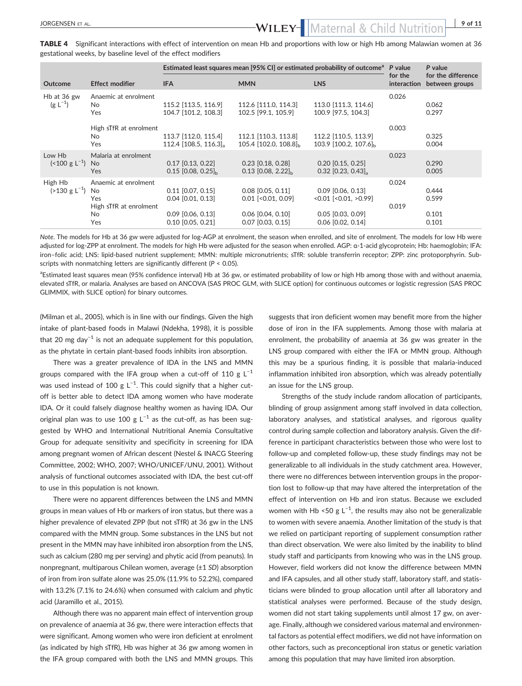## JORGENSEN ET AL. 19 OF 11

TABLE 4 Significant interactions with effect of intervention on mean Hb and proportions with low or high Hb among Malawian women at 36 gestational weeks, by baseline level of the effect modifiers

|                                         |                                                                     | Estimated least squares mean [95% CI] or estimated probability of outcome <sup>a</sup> P value |                                                                               |                                                                                    |                        | P value                              |
|-----------------------------------------|---------------------------------------------------------------------|------------------------------------------------------------------------------------------------|-------------------------------------------------------------------------------|------------------------------------------------------------------------------------|------------------------|--------------------------------------|
| <b>Outcome</b>                          | <b>Effect modifier</b>                                              | <b>IFA</b>                                                                                     | <b>MMN</b>                                                                    | <b>LNS</b>                                                                         | for the<br>interaction | for the difference<br>between groups |
| Hb at 36 gw<br>$(g L^{-1})$             | Anaemic at enrolment<br>No.<br>Yes                                  | 115.2 [113.5, 116.9]<br>104.7 [101.2, 108.3]                                                   | 112.6 [111.0, 114.3]<br>102.5 [99.1, 105.9]                                   | 113.0 [111.3, 114.6]<br>100.9 [97.5, 104.3]                                        | 0.026                  | 0.062<br>0.297                       |
|                                         | High sTfR at enrolment<br>No.<br>Yes                                | 113.7 [112.0, 115.4]<br>112.4 $[108.5, 116.3]$ <sub>a</sub>                                    | 112.1 [110.3, 113.8]<br>105.4 $[102.0, 108.8]_h$                              | 112.2 [110.5, 113.9]<br>103.9 [100.2, 107.6] <sub>b</sub>                          | 0.003                  | 0.325<br>0.004                       |
| Low Hb<br>$($ < 100 g L <sup>-1</sup> ) | Malaria at enrolment<br>No.<br><b>Yes</b>                           | $0.17$ [0.13, 0.22]<br>$0.15$ [0.08, 0.25] <sub>b</sub>                                        | $0.23$ [0.18, 0.28]<br>$0.13$ [0.08, 2.22] <sub>b</sub>                       | $0.20$ [0.15, 0.25]<br>$0.32$ [0.23, 0.43] <sub>a</sub>                            | 0.023                  | 0.290<br>0.005                       |
| High Hb<br>$(>130 \text{ g L}^{-1})$    | Anaemic at enrolment<br>No.<br>Yes<br>High sTfR at enrolment<br>No. | $0.11$ [0.07, 0.15]<br>$0.04$ $[0.01, 0.13]$<br>$0.09$ [0.06, 0.13]                            | $0.08$ $[0.05, 0.11]$<br>$0.01$ [< $0.01$ , $0.09$ ]<br>$0.06$ $[0.04, 0.10]$ | $0.09$ $[0.06, 0.13]$<br>$< 0.01$ [ $< 0.01$ , $> 0.99$ ]<br>$0.05$ $[0.03, 0.09]$ | 0.024<br>0.019         | 0.444<br>0.599<br>0.101              |
|                                         | Yes                                                                 | $0.10$ $[0.05, 0.21]$                                                                          | $0.07$ $[0.03, 0.15]$                                                         | 0.06 [0.02, 0.14]                                                                  |                        | 0.101                                |

Note. The models for Hb at 36 gw were adjusted for log‐AGP at enrolment, the season when enrolled, and site of enrolment. The models for low Hb were adjusted for log-ZPP at enrolment. The models for high Hb were adjusted for the season when enrolled. AGP: α-1-acid glycoprotein; Hb: haemoglobin; IFA: iron–folic acid; LNS: lipid‐based nutrient supplement; MMN: multiple micronutrients; sTfR: soluble transferrin receptor; ZPP: zinc protoporphyrin. Subscripts with nonmatching letters are significantly different (P < 0.05).

<sup>a</sup>Estimated least squares mean (95% confidence interval) Hb at 36 gw, or estimated probability of low or high Hb among those with and without anaemia, elevated sTfR, or malaria. Analyses are based on ANCOVA (SAS PROC GLM, with SLICE option) for continuous outcomes or logistic regression (SAS PROC GLIMMIX, with SLICE option) for binary outcomes.

(Milman et al., 2005), which is in line with our findings. Given the high intake of plant‐based foods in Malawi (Ndekha, 1998), it is possible that 20 mg day<sup>-1</sup> is not an adequate supplement for this population, as the phytate in certain plant‐based foods inhibits iron absorption.

There was a greater prevalence of IDA in the LNS and MMN groups compared with the IFA group when a cut-off of 110 g  $L^{-1}$ was used instead of 100 g L<sup>-1</sup>. This could signify that a higher cutoff is better able to detect IDA among women who have moderate IDA. Or it could falsely diagnose healthy women as having IDA. Our original plan was to use 100 g  $L^{-1}$  as the cut-off, as has been suggested by WHO and International Nutritional Anemia Consultative Group for adequate sensitivity and specificity in screening for IDA among pregnant women of African descent (Nestel & INACG Steering Committee, 2002; WHO, 2007; WHO/UNICEF/UNU, 2001). Without analysis of functional outcomes associated with IDA, the best cut‐off to use in this population is not known.

There were no apparent differences between the LNS and MMN groups in mean values of Hb or markers of iron status, but there was a higher prevalence of elevated ZPP (but not sTfR) at 36 gw in the LNS compared with the MMN group. Some substances in the LNS but not present in the MMN may have inhibited iron absorption from the LNS, such as calcium (280 mg per serving) and phytic acid (from peanuts). In nonpregnant, multiparous Chilean women, average (±1 SD) absorption of iron from iron sulfate alone was 25.0% (11.9% to 52.2%), compared with 13.2% (7.1% to 24.6%) when consumed with calcium and phytic acid (Jaramillo et al., 2015).

Although there was no apparent main effect of intervention group on prevalence of anaemia at 36 gw, there were interaction effects that were significant. Among women who were iron deficient at enrolment (as indicated by high sTfR), Hb was higher at 36 gw among women in the IFA group compared with both the LNS and MMN groups. This

suggests that iron deficient women may benefit more from the higher dose of iron in the IFA supplements. Among those with malaria at enrolment, the probability of anaemia at 36 gw was greater in the LNS group compared with either the IFA or MMN group. Although this may be a spurious finding, it is possible that malaria‐induced inflammation inhibited iron absorption, which was already potentially an issue for the LNS group.

Strengths of the study include random allocation of participants, blinding of group assignment among staff involved in data collection, laboratory analyses, and statistical analyses, and rigorous quality control during sample collection and laboratory analysis. Given the difference in participant characteristics between those who were lost to follow‐up and completed follow‐up, these study findings may not be generalizable to all individuals in the study catchment area. However, there were no differences between intervention groups in the proportion lost to follow‐up that may have altered the interpretation of the effect of intervention on Hb and iron status. Because we excluded women with Hb <50 g  $L^{-1}$ , the results may also not be generalizable to women with severe anaemia. Another limitation of the study is that we relied on participant reporting of supplement consumption rather than direct observation. We were also limited by the inability to blind study staff and participants from knowing who was in the LNS group. However, field workers did not know the difference between MMN and IFA capsules, and all other study staff, laboratory staff, and statisticians were blinded to group allocation until after all laboratory and statistical analyses were performed. Because of the study design, women did not start taking supplements until almost 17 gw, on average. Finally, although we considered various maternal and environmental factors as potential effect modifiers, we did not have information on other factors, such as preconceptional iron status or genetic variation among this population that may have limited iron absorption.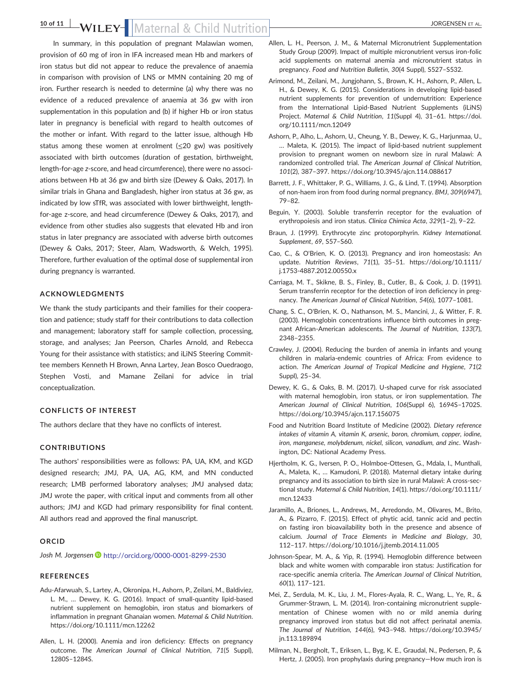### 10 of 11 WILEY-Maternal & Child Nutrition State Contract on the State of AL.

In summary, in this population of pregnant Malawian women, provision of 60 mg of iron in IFA increased mean Hb and markers of iron status but did not appear to reduce the prevalence of anaemia in comparison with provision of LNS or MMN containing 20 mg of iron. Further research is needed to determine (a) why there was no evidence of a reduced prevalence of anaemia at 36 gw with iron supplementation in this population and (b) if higher Hb or iron status later in pregnancy is beneficial with regard to health outcomes of the mother or infant. With regard to the latter issue, although Hb status among these women at enrolment  $(\leq 20 \text{ g})$  was positively associated with birth outcomes (duration of gestation, birthweight, length‐for‐age z‐score, and head circumference), there were no associations between Hb at 36 gw and birth size (Dewey & Oaks, 2017). In similar trials in Ghana and Bangladesh, higher iron status at 36 gw, as indicated by low sTfR, was associated with lower birthweight, length‐ for‐age z‐score, and head circumference (Dewey & Oaks, 2017), and evidence from other studies also suggests that elevated Hb and iron status in later pregnancy are associated with adverse birth outcomes (Dewey & Oaks, 2017; Steer, Alam, Wadsworth, & Welch, 1995). Therefore, further evaluation of the optimal dose of supplemental iron during pregnancy is warranted.

### ACKNOWLEDGMENTS

We thank the study participants and their families for their cooperation and patience; study staff for their contributions to data collection and management; laboratory staff for sample collection, processing, storage, and analyses; Jan Peerson, Charles Arnold, and Rebecca Young for their assistance with statistics; and iLiNS Steering Committee members Kenneth H Brown, Anna Lartey, Jean Bosco Ouedraogo, Stephen Vosti, and Mamane Zeilani for advice in trial conceptualization.

### CONFLICTS OF INTEREST

The authors declare that they have no conflicts of interest.

### CONTRIBUTIONS

The authors' responsibilities were as follows: PA, UA, KM, and KGD designed research; JMJ, PA, UA, AG, KM, and MN conducted research; LMB performed laboratory analyses; JMJ analysed data; JMJ wrote the paper, with critical input and comments from all other authors; JMJ and KGD had primary responsibility for final content. All authors read and approved the final manuscript.

#### ORCID

Josh M. Jorgensen <http://orcid.org/0000-0001-8299-2530>

#### REFERENCES

- Adu‐Afarwuah, S., Lartey, A., Okronipa, H., Ashorn, P., Zeilani, M., Baldiviez, L. M., … Dewey, K. G. (2016). Impact of small‐quantity lipid‐based nutrient supplement on hemoglobin, iron status and biomarkers of inflammation in pregnant Ghanaian women. Maternal & Child Nutrition. <https://doi.org/10.1111/mcn.12262>
- Allen, L. H. (2000). Anemia and iron deficiency: Effects on pregnancy outcome. The American Journal of Clinical Nutrition, 71(5 Suppl), 1280S–1284S.
- Allen, L. H., Peerson, J. M., & Maternal Micronutrient Supplementation Study Group (2009). Impact of multiple micronutrient versus iron‐folic acid supplements on maternal anemia and micronutrient status in pregnancy. Food and Nutrition Bulletin, 30(4 Suppl), S527–S532.
- Arimond, M., Zeilani, M., Jungjohann, S., Brown, K. H., Ashorn, P., Allen, L. H., & Dewey, K. G. (2015). Considerations in developing lipid‐based nutrient supplements for prevention of undernutrition: Experience from the International Lipid‐Based Nutrient Supplements (iLiNS) Project. Maternal & Child Nutrition, 11(Suppl 4), 31–61. [https://doi.](https://doi.org/10.1111/mcn.12049) [org/10.1111/mcn.12049](https://doi.org/10.1111/mcn.12049)
- Ashorn, P., Alho, L., Ashorn, U., Cheung, Y. B., Dewey, K. G., Harjunmaa, U., … Maleta, K. (2015). The impact of lipid‐based nutrient supplement provision to pregnant women on newborn size in rural Malawi: A randomized controlled trial. The American Journal of Clinical Nutrition, 101(2), 387–397.<https://doi.org/10.3945/ajcn.114.088617>
- Barrett, J. F., Whittaker, P. G., Williams, J. G., & Lind, T. (1994). Absorption of non‐haem iron from food during normal pregnancy. BMJ, 309(6947), 79–82.
- Beguin, Y. (2003). Soluble transferrin receptor for the evaluation of erythropoiesis and iron status. Clinica Chimica Acta, 329(1–2), 9–22.
- Braun, J. (1999). Erythrocyte zinc protoporphyrin. Kidney International. Supplement, 69, S57–S60.
- Cao, C., & O'Brien, K. O. (2013). Pregnancy and iron homeostasis: An update. Nutrition Reviews, 71(1), 35–51. [https://doi.org/10.1111/](https://doi.org/10.1111/j.1753-4887.2012.00550.x) j.1753‐[4887.2012.00550.x](https://doi.org/10.1111/j.1753-4887.2012.00550.x)
- Carriaga, M. T., Skikne, B. S., Finley, B., Cutler, B., & Cook, J. D. (1991). Serum transferrin receptor for the detection of iron deficiency in pregnancy. The American Journal of Clinical Nutrition, 54(6), 1077–1081.
- Chang, S. C., O'Brien, K. O., Nathanson, M. S., Mancini, J., & Witter, F. R. (2003). Hemoglobin concentrations influence birth outcomes in pregnant African-American adolescents. The Journal of Nutrition, 133(7), 2348–2355.
- Crawley, J. (2004). Reducing the burden of anemia in infants and young children in malaria‐endemic countries of Africa: From evidence to action. The American Journal of Tropical Medicine and Hygiene, 71(2 Suppl), 25–34.
- Dewey, K. G., & Oaks, B. M. (2017). U‐shaped curve for risk associated with maternal hemoglobin, iron status, or iron supplementation. The American Journal of Clinical Nutrition, 106(Suppl 6), 1694S–1702S. <https://doi.org/10.3945/ajcn.117.156075>
- Food and Nutrition Board Institute of Medicine (2002). Dietary reference intakes of vitamin A, vitamin K, arsenic, boron, chromium, copper, iodine, iron, manganese, molybdenum, nickel, silicon, vanadium, and zinc. Washington, DC: National Academy Press.
- Hjertholm, K. G., Iversen, P. O., Holmboe‐Ottesen, G., Mdala, I., Munthali, A., Maleta, K., … Kamudoni, P. (2018). Maternal dietary intake during pregnancy and its association to birth size in rural Malawi: A cross‐sectional study. Maternal & Child Nutrition, 14(1). [https://doi.org/10.1111/](https://doi.org/10.1111/mcn.12433) [mcn.12433](https://doi.org/10.1111/mcn.12433)
- Jaramillo, A., Briones, L., Andrews, M., Arredondo, M., Olivares, M., Brito, A., & Pizarro, F. (2015). Effect of phytic acid, tannic acid and pectin on fasting iron bioavailability both in the presence and absence of calcium. Journal of Trace Elements in Medicine and Biology, 30, 112–117.<https://doi.org/10.1016/j.jtemb.2014.11.005>
- Johnson‐Spear, M. A., & Yip, R. (1994). Hemoglobin difference between black and white women with comparable iron status: Justification for race‐specific anemia criteria. The American Journal of Clinical Nutrition, 60(1), 117–121.
- Mei, Z., Serdula, M. K., Liu, J. M., Flores‐Ayala, R. C., Wang, L., Ye, R., & Grummer‐Strawn, L. M. (2014). Iron‐containing micronutrient supplementation of Chinese women with no or mild anemia during pregnancy improved iron status but did not affect perinatal anemia. The Journal of Nutrition, 144(6), 943–948. [https://doi.org/10.3945/](https://doi.org/10.3945/jn.113.189894) [jn.113.189894](https://doi.org/10.3945/jn.113.189894)
- Milman, N., Bergholt, T., Eriksen, L., Byg, K. E., Graudal, N., Pedersen, P., & Hertz, J. (2005). Iron prophylaxis during pregnancy—How much iron is